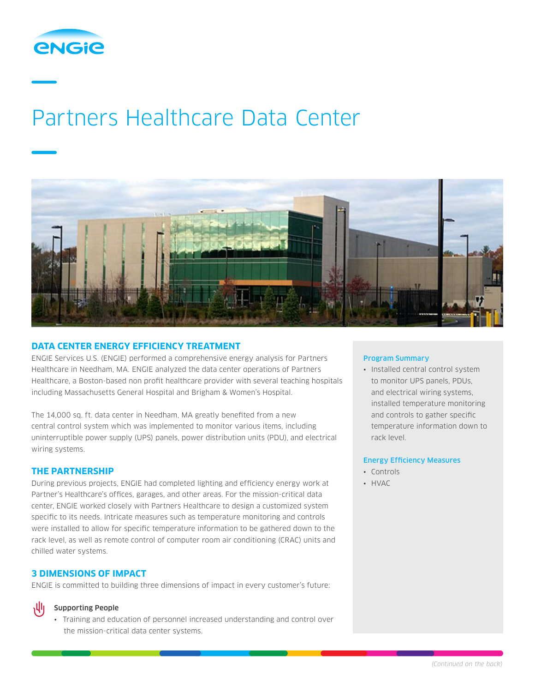

# Partners Healthcare Data Center



## **DATA CENTER ENERGY EFFICIENCY TREATMENT**

ENGIE Services U.S. (ENGIE) performed a comprehensive energy analysis for Partners Healthcare in Needham, MA. ENGIE analyzed the data center operations of Partners Healthcare, a Boston-based non profit healthcare provider with several teaching hospitals including Massachusetts General Hospital and Brigham & Women's Hospital.

The 14,000 sq. ft. data center in Needham, MA greatly benefited from a new central control system which was implemented to monitor various items, including uninterruptible power supply (UPS) panels, power distribution units (PDU), and electrical wiring systems.

## **THE PARTNERSHIP**

During previous projects, ENGIE had completed lighting and efficiency energy work at Partner's Healthcare's offices, garages, and other areas. For the mission-critical data center, ENGIE worked closely with Partners Healthcare to design a customized system specific to its needs. Intricate measures such as temperature monitoring and controls were installed to allow for specific temperature information to be gathered down to the rack level, as well as remote control of computer room air conditioning (CRAC) units and chilled water systems.

## **3 DIMENSIONS OF IMPACT**

ENGIE is committed to building three dimensions of impact in every customer's future:

#### Supporting People

• Training and education of personnel increased understanding and control over the mission-critical data center systems.

#### Program Summary

• Installed central control system to monitor UPS panels, PDUs, and electrical wiring systems, installed temperature monitoring and controls to gather specific temperature information down to rack level.

### Energy Efficiency Measures

- Controls
- HVAC